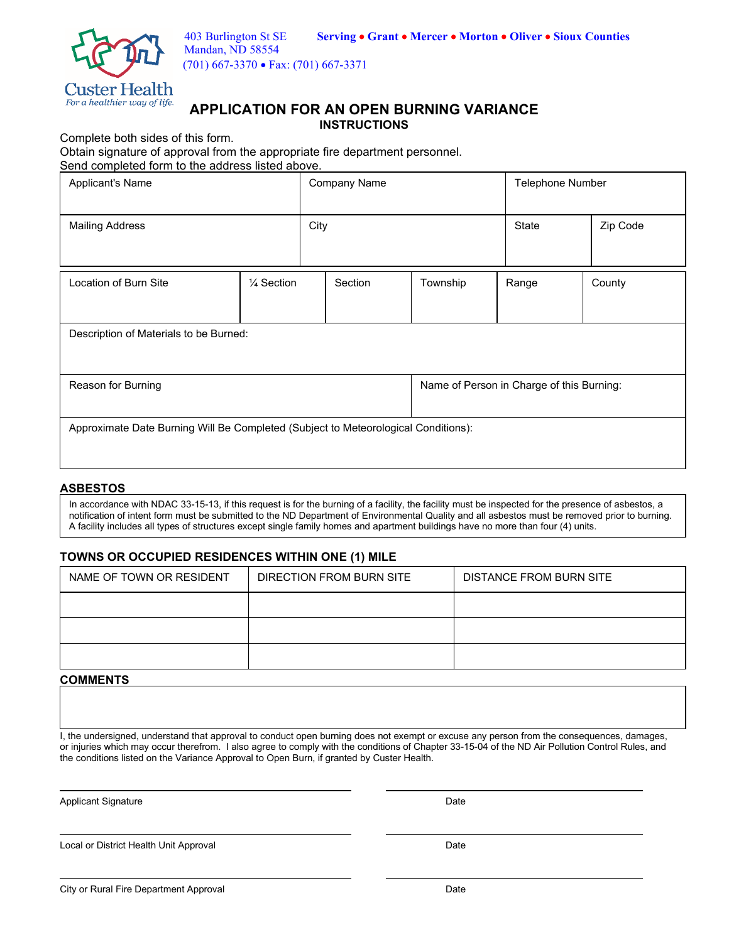

(701) 667-3370 • Fax: (701) 667-3371

## **APPLICATION FOR AN OPEN BURNING VARIANCE INSTRUCTIONS**

Complete both sides of this form.

Obtain signature of approval from the appropriate fire department personnel. Send completed form to the address listed above.

| Applicant's Name                                                                   |                       | <b>Company Name</b> |                                           | Telephone Number |          |  |
|------------------------------------------------------------------------------------|-----------------------|---------------------|-------------------------------------------|------------------|----------|--|
| <b>Mailing Address</b>                                                             |                       | City                |                                           | <b>State</b>     | Zip Code |  |
| Location of Burn Site                                                              | $\frac{1}{4}$ Section | Section             | Township                                  | Range            | County   |  |
| Description of Materials to be Burned:                                             |                       |                     |                                           |                  |          |  |
| Reason for Burning                                                                 |                       |                     | Name of Person in Charge of this Burning: |                  |          |  |
| Approximate Date Burning Will Be Completed (Subject to Meteorological Conditions): |                       |                     |                                           |                  |          |  |

## **ASBESTOS**

In accordance with NDAC 33-15-13, if this request is for the burning of a facility, the facility must be inspected for the presence of asbestos, a notification of intent form must be submitted to the ND Department of Environmental Quality and all asbestos must be removed prior to burning. A facility includes all types of structures except single family homes and apartment buildings have no more than four (4) units.

## **TOWNS OR OCCUPIED RESIDENCES WITHIN ONE (1) MILE**

| NAME OF TOWN OR RESIDENT | DIRECTION FROM BURN SITE | <b>DISTANCE FROM BURN SITE</b> |  |  |
|--------------------------|--------------------------|--------------------------------|--|--|
|                          |                          |                                |  |  |
|                          |                          |                                |  |  |
|                          |                          |                                |  |  |

## **COMMENTS**

I, the undersigned, understand that approval to conduct open burning does not exempt or excuse any person from the consequences, damages, or injuries which may occur therefrom. I also agree to comply with the conditions of Chapter 33-15-04 of the ND Air Pollution Control Rules, and the conditions listed on the Variance Approval to Open Burn, if granted by Custer Health.

-Applicant Signature Date

-Local or District Health Unit Approval Date